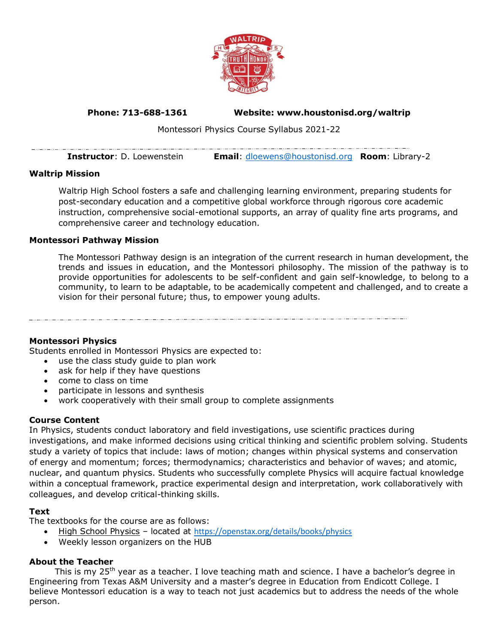

# **Phone: 713-688-1361 Website: www.houstonisd.org/waltrip**

Montessori Physics Course Syllabus 2021-22

| <b>Instructor</b> : D. Loewenstein | <b>Email:</b> dloewens@houstonisd.org <b>Room:</b> Library-2 |  |
|------------------------------------|--------------------------------------------------------------|--|

### **Waltrip Mission**

 $-\cdots$ 

Waltrip High School fosters a safe and challenging learning environment, preparing students for post-secondary education and a competitive global workforce through rigorous core academic instruction, comprehensive social-emotional supports, an array of quality fine arts programs, and comprehensive career and technology education.

#### **Montessori Pathway Mission**

The Montessori Pathway design is an integration of the current research in human development, the trends and issues in education, and the Montessori philosophy. The mission of the pathway is to provide opportunities for adolescents to be self-confident and gain self-knowledge, to belong to a community, to learn to be adaptable, to be academically competent and challenged, and to create a vision for their personal future; thus, to empower young adults.

#### **Montessori Physics**

Students enrolled in Montessori Physics are expected to:

- use the class study guide to plan work
- ask for help if they have questions
- come to class on time
- participate in lessons and synthesis
- work cooperatively with their small group to complete assignments

#### **Course Content**

In Physics, students conduct laboratory and field investigations, use scientific practices during investigations, and make informed decisions using critical thinking and scientific problem solving. Students study a variety of topics that include: laws of motion; changes within physical systems and conservation of energy and momentum; forces; thermodynamics; characteristics and behavior of waves; and atomic, nuclear, and quantum physics. Students who successfully complete Physics will acquire factual knowledge within a conceptual framework, practice experimental design and interpretation, work collaboratively with colleagues, and develop critical-thinking skills.

### **Text**

The textbooks for the course are as follows:

- High School Physics located at <https://openstax.org/details/books/physics>
- Weekly lesson organizers on the HUB

### **About the Teacher**

This is my 25<sup>th</sup> year as a teacher. I love teaching math and science. I have a bachelor's degree in Engineering from Texas A&M University and a master's degree in Education from Endicott College. I believe Montessori education is a way to teach not just academics but to address the needs of the whole person.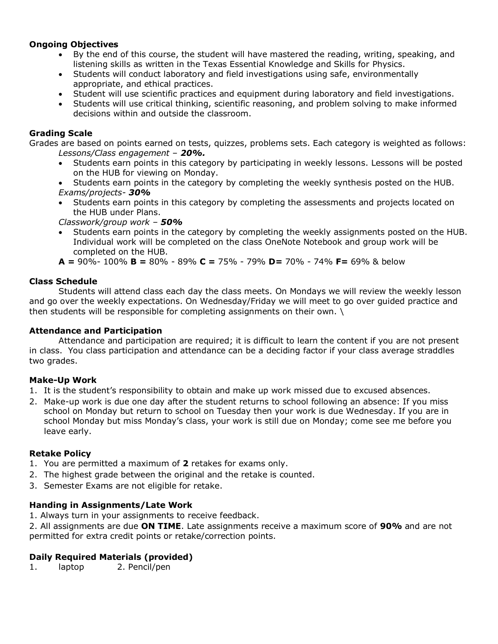## **Ongoing Objectives**

- By the end of this course, the student will have mastered the reading, writing, speaking, and listening skills as written in the Texas Essential Knowledge and Skills for Physics.
- Students will conduct laboratory and field investigations using safe, environmentally appropriate, and ethical practices.
- Student will use scientific practices and equipment during laboratory and field investigations.
- Students will use critical thinking, scientific reasoning, and problem solving to make informed decisions within and outside the classroom.

## **Grading Scale**

Grades are based on points earned on tests, quizzes, problems sets. Each category is weighted as follows: *Lessons/Class engagement – 20%.* 

- Students earn points in this category by participating in weekly lessons. Lessons will be posted on the HUB for viewing on Monday.
- Students earn points in the category by completing the weekly synthesis posted on the HUB. *Exams/projects- 30%*
- Students earn points in this category by completing the assessments and projects located on the HUB under Plans.

*Classwork/group work – 50%*

• Students earn points in the category by completing the weekly assignments posted on the HUB. Individual work will be completed on the class OneNote Notebook and group work will be completed on the HUB.

**A =** 90%- 100% **B =** 80% - 89% **C =** 75% - 79% **D=** 70% - 74% **F=** 69% & below

## **Class Schedule**

Students will attend class each day the class meets. On Mondays we will review the weekly lesson and go over the weekly expectations. On Wednesday/Friday we will meet to go over guided practice and then students will be responsible for completing assignments on their own. \

### **Attendance and Participation**

Attendance and participation are required; it is difficult to learn the content if you are not present in class. You class participation and attendance can be a deciding factor if your class average straddles two grades.

### **Make-Up Work**

- 1. It is the student's responsibility to obtain and make up work missed due to excused absences.
- 2. Make-up work is due one day after the student returns to school following an absence: If you miss school on Monday but return to school on Tuesday then your work is due Wednesday. If you are in school Monday but miss Monday's class, your work is still due on Monday; come see me before you leave early.

# **Retake Policy**

- 1. You are permitted a maximum of **2** retakes for exams only.
- 2. The highest grade between the original and the retake is counted.
- 3. Semester Exams are not eligible for retake.

### **Handing in Assignments/Late Work**

1. Always turn in your assignments to receive feedback.

2. All assignments are due **ON TIME**. Late assignments receive a maximum score of **90%** and are not permitted for extra credit points or retake/correction points.

### **Daily Required Materials (provided)**

1. laptop 2. Pencil/pen